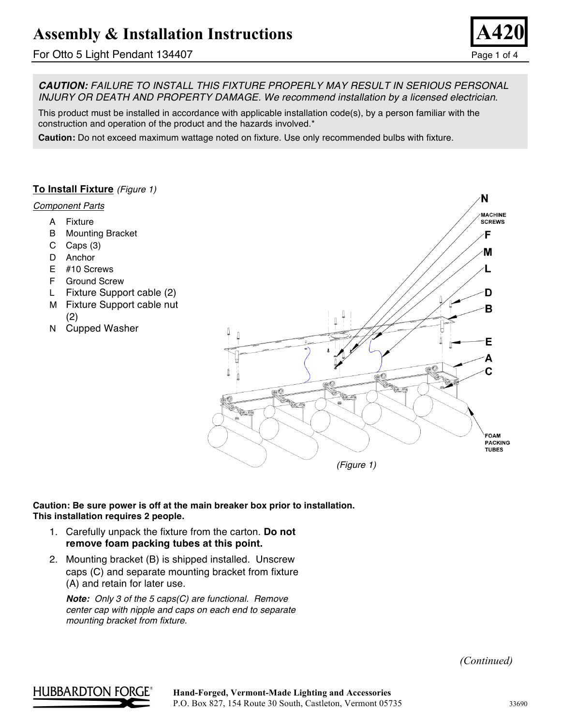## For Otto 5 Light Pendant 134407 Page 1 of 4



*CAUTION: FAILURE TO INSTALL THIS FIXTURE PROPERLY MAY RESULT IN SERIOUS PERSONAL INJURY OR DEATH AND PROPERTY DAMAGE. We recommend installation by a licensed electrician.*

This product must be installed in accordance with applicable installation code(s), by a person familiar with the construction and operation of the product and the hazards involved.\*

**Caution:** Do not exceed maximum wattage noted on fixture. Use only recommended bulbs with fixture.

### **To Install Fixture** *(Figure 1)*

### *Component Parts*

- A Fixture
- B Mounting Bracket
- C Caps (3)
- D Anchor
- E #10 Screws
- F Ground Screw
- L Fixture Support cable (2)
- M Fixture Support cable nut (2)
- N Cupped Washer



### **Caution: Be sure power is off at the main breaker box prior to installation. This installation requires 2 people.**

- 1. Carefully unpack the fixture from the carton. **Do not remove foam packing tubes at this point.**
- 2. Mounting bracket (B) is shipped installed. Unscrew caps (C) and separate mounting bracket from fixture (A) and retain for later use.

*Note: Only 3 of the 5 caps(C) are functional. Remove center cap with nipple and caps on each end to separate mounting bracket from fixture.*

*(Continued)*

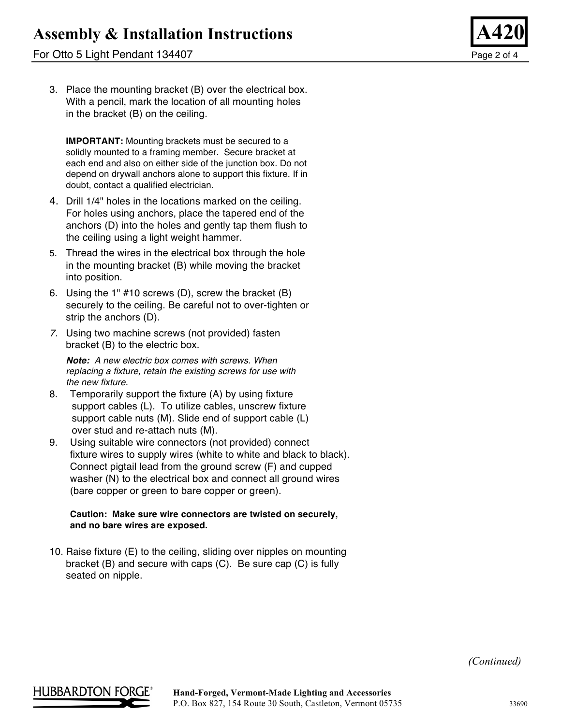## For Otto 5 Light Pendant 134407 Page 2 of 4



3. Place the mounting bracket (B) over the electrical box. With a pencil, mark the location of all mounting holes in the bracket (B) on the ceiling.

**IMPORTANT:** Mounting brackets must be secured to a solidly mounted to a framing member. Secure bracket at each end and also on either side of the junction box. Do not depend on drywall anchors alone to support this fixture. If in doubt, contact a qualified electrician.

- 4. Drill 1/4" holes in the locations marked on the ceiling. For holes using anchors, place the tapered end of the anchors (D) into the holes and gently tap them flush to the ceiling using a light weight hammer.
- 5. Thread the wires in the electrical box through the hole in the mounting bracket (B) while moving the bracket into position.
- 6. Using the 1" #10 screws (D), screw the bracket (B) securely to the ceiling. Be careful not to over-tighten or strip the anchors (D).
- *7.* Using two machine screws (not provided) fasten bracket (B) to the electric box.

*Note: A new electric box comes with screws. When replacing a fixture, retain the existing screws for use with the new fixture.*

- 8. Temporarily support the fixture (A) by using fixture support cables (L). To utilize cables, unscrew fixture support cable nuts (M). Slide end of support cable (L) over stud and re-attach nuts (M).
- 9. Using suitable wire connectors (not provided) connect fixture wires to supply wires (white to white and black to black). Connect pigtail lead from the ground screw (F) and cupped washer (N) to the electrical box and connect all ground wires (bare copper or green to bare copper or green).

### **Caution: Make sure wire connectors are twisted on securely, and no bare wires are exposed.**

10. Raise fixture (E) to the ceiling, sliding over nipples on mounting bracket (B) and secure with caps (C). Be sure cap (C) is fully seated on nipple.

*(Continued)*

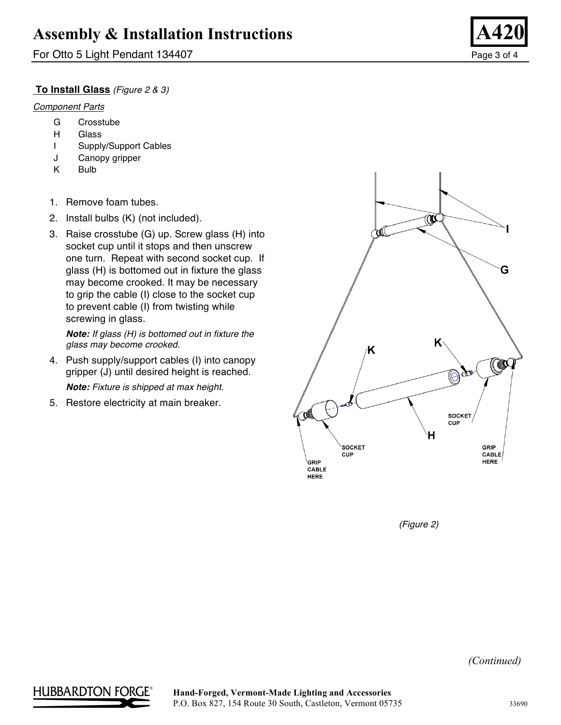For Otto 5 Light Pendant 134407 Page 3 of 4

### **To Install Glass** *(Figure 2 & 3)*

### *Component Parts*

- G Crosstube
- H Glass
- I Supply/Support Cables
- J Canopy gripper
- K Bulb
- 1. Remove foam tubes.
- 2. Install bulbs (K) (not included).
- 3. Raise crosstube (G) up. Screw glass (H) into socket cup until it stops and then unscrew one turn. Repeat with second socket cup. If glass (H) is bottomed out in fixture the glass may become crooked. It may be necessary to grip the cable (I) close to the socket cup to prevent cable (I) from twisting while screwing in glass.

*Note: If glass (H) is bottomed out in fixture the glass may become crooked.*

4. Push supply/support cables (I) into canopy gripper (J) until desired height is reached.

*Note: Fixture is shipped at max height.*

5. Restore electricity at main breaker.



*(Figure 2)*

*(Continued)*